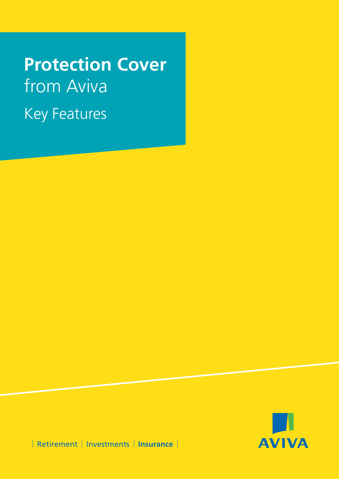# **Protection Cover** from Aviva Key Features



**Retirement | Investments | Insurance |**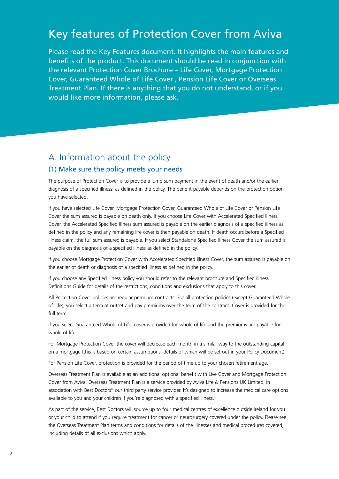# Key features of Protection Cover from Aviva

Please read the Key Features document. It highlights the main features and benefits of the product. This document should be read in conjunction with the relevant Protection Cover Brochure – Life Cover, Mortgage Protection Cover, Guaranteed Whole of Life Cover , Pension Life Cover or Overseas Treatment Plan. If there is anything that you do not understand, or if you would like more information, please ask.

# A. Information about the policy

#### (1) Make sure the policy meets your needs

The purpose of Protection Cover is to provide a lump sum payment in the event of death and/or the earlier diagnosis of a specified illness, as defined in the policy. The benefit payable depends on the protection option you have selected.

If you have selected Life Cover, Mortgage Protection Cover, Guaranteed Whole of Life Cover or Pension Life Cover the sum assured is payable on death only. If you choose Life Cover with Accelerated Specified Illness Cover, the Accelerated Specified Illness sum assured is payable on the earlier diagnosis of a specified illness as defined in the policy and any remaining life cover is then payable on death. If death occurs before a Specified Illness claim, the full sum assured is payable. If you select Standalone Specified Illness Cover the sum assured is payable on the diagnosis of a specified illness as defined in the policy.

If you choose Mortgage Protection Cover with Accelerated Specified Illness Cover, the sum assured is payable on the earlier of death or diagnosis of a specified illness as defined in the policy.

If you choose any Specified Illness policy you should refer to the relevant brochure and Specified Illness Definitions Guide for details of the restrictions, conditions and exclusions that apply to this cover.

All Protection Cover policies are regular premium contracts. For all protection policies (except Guaranteed Whole of Life), you select a term at outset and pay premiums over the term of the contract. Cover is provided for the full term.

If you select Guaranteed Whole of Life, cover is provided for whole of life and the premiums are payable for whole of life.

For Mortgage Protection Cover the cover will decrease each month in a similar way to the outstanding capital on a mortgage (this is based on certain assumptions, details of which will be set out in your Policy Document).

For Pension Life Cover, protection is provided for the period of time up to your chosen retirement age.

Overseas Treatment Plan is available as an additional optional benefit with Live Cover and Mortgage Protection Cover from Aviva. Overseas Treatment Plan is a service provided by Aviva Life & Pensions UK Limited, in association with Best Doctors® our third party service provider. It's designed to increase the medical care options available to you and your children if you're diagnosed with a specified illness.

As part of the service, Best Doctors will source up to four medical centres of excellence outside Ireland for you or your child to attend if you require treatment for cancer or neurosurgery covered under the policy. Please see the Overseas Treatment Plan terms and conditions for details of the illnesses and medical procedures covered, including details of all exclusions which apply.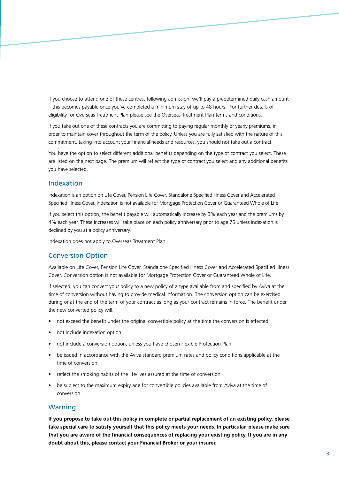If you choose to attend one of these centres, following admission, we'll pay a predetermined daily cash amount – this becomes payable once you've completed a minimum stay of up to 48 hours. For further details of eligibility for Overseas Treatment Plan please see the Overseas Treatment Plan terms and conditions.

If you take out one of these contracts you are committing to paying regular monthly or yearly premiums, in order to maintain cover throughout the term of the policy. Unless you are fully satisfied with the nature of this commitment, taking into account your financial needs and resources, you should not take out a contract.

You have the option to select different additional benefits depending on the type of contract you select. These are listed on the next page. The premium will reflect the type of contract you select and any additional benefits you have selected.

#### Indexation

Indexation is an option on Life Cover, Pension Life Cover, Standalone Specified Illness Cover and Accelerated Specified Illness Cover. Indexation is not available for Mortgage Protection Cover or Guaranteed Whole of Life.

If you select this option, the benefit payable will automatically increase by 3% each year and the premiums by 4% each year. These increases will take place on each policy anniversary prior to age 75 unless indexation is declined by you at a policy anniversary.

Indexation does not apply to Overseas Treatment Plan.

#### Conversion Option

Available on Life Cover, Pension Life Cover, Standalone Specified Illness Cover and Accelerated Specified Illness Cover. Conversion option is not available for Mortgage Protection Cover or Guaranteed Whole of Life.

If selected, you can convert your policy to a new policy of a type available from and specified by Aviva at the time of conversion without having to provide medical information. The conversion option can be exercised during or at the end of the term of your contract as long as your contract remains in force. The benefit under the new converted policy will:

- not exceed the benefit under the original convertible policy at the time the conversion is effected
- not include indexation option
- not include a conversion option, unless you have chosen Flexible Protection Plan
- be issued in accordance with the Aviva standard premium rates and policy conditions applicable at the time of conversion
- reflect the smoking habits of the life/lives assured at the time of conversion
- be subject to the maximum expiry age for convertible policies available from Aviva at the time of conversion

#### **Warning**

**If you propose to take out this policy in complete or partial replacement of an existing policy, please take special care to satisfy yourself that this policy meets your needs. In particular, please make sure that you are aware of the financial consequences of replacing your existing policy. If you are in any doubt about this, please contact your Financial Broker or your insurer.**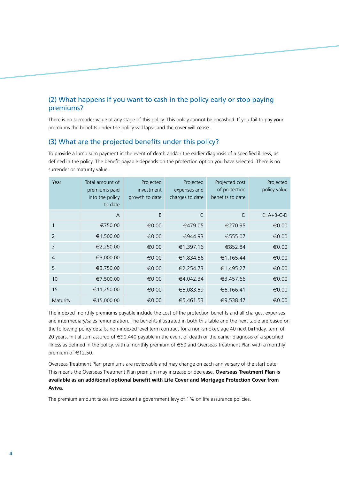#### (2) What happens if you want to cash in the policy early or stop paying premiums?

There is no surrender value at any stage of this policy. This policy cannot be encashed. If you fail to pay your premiums the benefits under the policy will lapse and the cover will cease.

#### (3) What are the projected benefits under this policy?

To provide a lump sum payment in the event of death and/or the earlier diagnosis of a specified illness, as defined in the policy. The benefit payable depends on the protection option you have selected. There is no surrender or maturity value.

| Year           | Total amount of<br>premiums paid<br>into the policy<br>to date | Projected<br>investment<br>growth to date | Projected<br>expenses and<br>charges to date | Projected cost<br>of protection<br>benefits to date | Projected<br>policy value |
|----------------|----------------------------------------------------------------|-------------------------------------------|----------------------------------------------|-----------------------------------------------------|---------------------------|
|                | $\overline{A}$                                                 | B                                         | C                                            | D                                                   | $E = A + B - C - D$       |
|                | €750.00                                                        | € $0.00$                                  | €479.05                                      | €270.95                                             | €0.00                     |
| $\overline{2}$ | €1,500.00                                                      | €0.00                                     | €944.93                                      | €555.07                                             | €0.00                     |
| 3              | €2,250.00                                                      | €0.00                                     | €1,397.16                                    | €852.84                                             | €0.00                     |
| $\overline{4}$ | €3,000.00                                                      | €0.00                                     | €1,834.56                                    | €1,165.44                                           | €0.00                     |
| 5              | €3,750.00                                                      | €0.00                                     | €2,254.73                                    | €1,495.27                                           | €0.00                     |
| 10             | €7,500.00                                                      | € $0.00$                                  | €4,042.34                                    | €3,457.66                                           | € $0.00$                  |
| 15             | €11,250.00                                                     | € $0.00$                                  | €5,083.59                                    | €6,166.41                                           | €0.00                     |
| Maturity       | €15,000.00                                                     | €0.00                                     | €5,461.53                                    | €9,538.47                                           | €0.00                     |

The indexed monthly premiums payable include the cost of the protection benefits and all charges, expenses and intermediary/sales remuneration. The benefits illustrated in both this table and the next table are based on the following policy details: non-indexed level term contract for a non-smoker, age 40 next birthday, term of 20 years, initial sum assured of €90,440 payable in the event of death or the earlier diagnosis of a specified illness as defined in the policy, with a monthly premium of  $\epsilon$ 50 and Overseas Treatment Plan with a monthly premium of €12.50.

Overseas Treatment Plan premiums are reviewable and may change on each anniversary of the start date. This means the Overseas Treatment Plan premium may increase or decrease. **Overseas Treatment Plan is available as an additional optional benefit with Life Cover and Mortgage Protection Cover from Aviva.**

The premium amount takes into account a government levy of 1% on life assurance policies.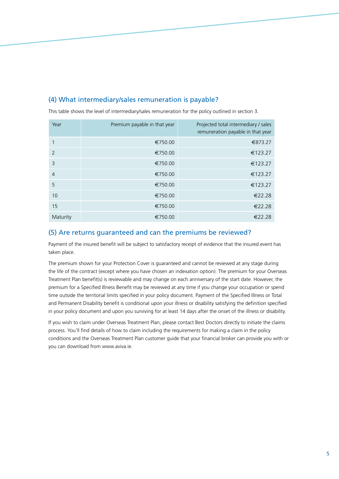| Year           | Premium payable in that year | Projected total intermediary / sales<br>remuneration payable in that year |
|----------------|------------------------------|---------------------------------------------------------------------------|
| 1              | €750.00                      | €873.27                                                                   |
| 2              | €750.00                      | €123.27                                                                   |
| 3              | €750.00                      | €123.27                                                                   |
| $\overline{4}$ | €750.00                      | €123.27                                                                   |
| 5              | €750.00                      | €123.27                                                                   |
| 10             | €750.00                      | €22.28                                                                    |
| 15             | €750.00                      | €22.28                                                                    |
| Maturity       | €750.00                      | €22.28                                                                    |

#### (4) What intermediary/sales remuneration is payable?

This table shows the level of intermediary/sales remuneration for the policy outlined in section 3.

#### (5) Are returns guaranteed and can the premiums be reviewed?

Payment of the insured benefit will be subject to satisfactory receipt of evidence that the insured event has taken place.

The premium shown for your Protection Cover is guaranteed and cannot be reviewed at any stage during the life of the contract (except where you have chosen an indexation option). The premium for your Overseas Treatment Plan benefit(s) is reviewable and may change on each anniversary of the start date. However, the premium for a Specified Illness Benefit may be reviewed at any time if you change your occupation or spend time outside the territorial limits specified in your policy document. Payment of the Specified Illness or Total and Permanent Disability benefit is conditional upon your illness or disability satisfying the definition specified in your policy document and upon you surviving for at least 14 days after the onset of the illness or disability.

If you wish to claim under Overseas Treatment Plan, please contact Best Doctors directly to initiate the claims process. You'll find details of how to claim including the requirements for making a claim in the policy conditions and the Overseas Treatment Plan customer guide that your financial broker can provide you with or you can download from www.aviva.ie.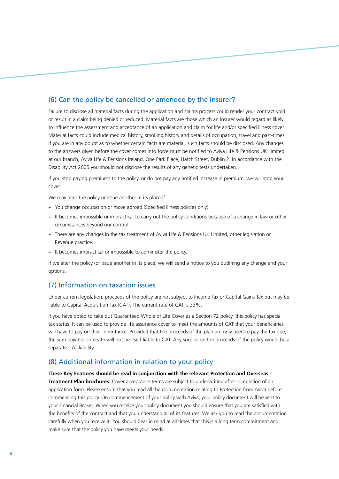#### (6) Can the policy be cancelled or amended by the insurer?

Failure to disclose all material facts during the application and claims process could render your contract void or result in a claim being denied or reduced. Material facts are those which an insurer would regard as likely to influence the assessment and acceptance of an application and claim for life and/or specified illness cover. Material facts could include medical history, smoking history and details of occupation, travel and past-times. If you are in any doubt as to whether certain facts are material, such facts should be disclosed. Any changes to the answers given before the cover comes into force must be notified to Aviva Life & Pensions UK Limited at our branch, Aviva Life & Pensions Ireland, One Park Place, Hatch Street, Dublin 2. In accordance with the Disability Act 2005 you should not disclose the results of any genetic tests undertaken.

If you stop paying premiums to the policy, or do not pay any notified increase in premium, we will stop your cover.

We may alter the policy or issue another in its place if:

- + You change occupation or move abroad (Specified Illness policies only)
- + It becomes impossible or impractical to carry out the policy conditions because of a change in law or other circumstances beyond our control.
- + There are any changes in the tax treatment of Aviva Life & Pensions UK Limited, other legislation or Revenue practice.
- + It becomes impractical or impossible to administer the policy.

If we alter the policy (or issue another in its place) we will send a notice to you outlining any change and your options.

#### (7) Information on taxation issues

Under current legislation, proceeds of the policy are not subject to Income Tax or Capital Gains Tax but may be liable to Capital Acquisition Tax (CAT). The current rate of CAT is 33%.

If you have opted to take out Guaranteed Whole of Life Cover as a Section 72 policy, this policy has special tax status. It can be used to provide life assurance cover to meet the amounts of CAT that your beneficiaries will have to pay on their inheritance. Provided that the proceeds of the plan are only used to pay the tax due, the sum payable on death will not be itself liable to CAT. Any surplus on the proceeds of the policy would be a separate CAT liability.

#### (8) Additional information in relation to your policy

**These Key Features should be read in conjunction with the relevant Protection and Overseas** 

**Treatment Plan brochures.** Cover acceptance terms are subject to underwriting after completion of an application form. Please ensure that you read all the documentation relating to Protection from Aviva before commencing this policy. On commencement of your policy with Aviva, your policy document will be sent to your Financial Broker. When you receive your policy document you should ensure that you are satisfied with the benefits of the contract and that you understand all of its features. We ask you to read the documentation carefully when you receive it. You should bear in mind at all times that this is a long term commitment and make sure that the policy you have meets your needs.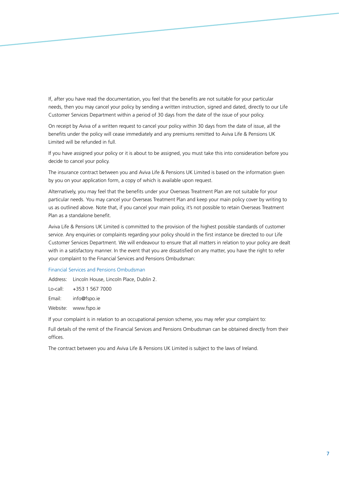If, after you have read the documentation, you feel that the benefits are not suitable for your particular needs, then you may cancel your policy by sending a written instruction, signed and dated, directly to our Life Customer Services Department within a period of 30 days from the date of the issue of your policy.

On receipt by Aviva of a written request to cancel your policy within 30 days from the date of issue, all the benefits under the policy will cease immediately and any premiums remitted to Aviva Life & Pensions UK Limited will be refunded in full.

If you have assigned your policy or it is about to be assigned, you must take this into consideration before you decide to cancel your policy.

The insurance contract between you and Aviva Life & Pensions UK Limited is based on the information given by you on your application form, a copy of which is available upon request.

Alternatively, you may feel that the benefits under your Overseas Treatment Plan are not suitable for your particular needs. You may cancel your Overseas Treatment Plan and keep your main policy cover by writing to us as outlined above. Note that, if you cancel your main policy, it's not possible to retain Overseas Treatment Plan as a standalone benefit.

Aviva Life & Pensions UK Limited is committed to the provision of the highest possible standards of customer service. Any enquiries or complaints regarding your policy should in the first instance be directed to our Life Customer Services Department. We will endeavour to ensure that all matters in relation to your policy are dealt with in a satisfactory manner. In the event that you are dissatisfied on any matter, you have the right to refer your complaint to the Financial Services and Pensions Ombudsman:

#### Financial Services and Pensions Ombudsman

Address: Lincoln House, Lincoln Place, Dublin 2.

Lo-call: +353 1 567 7000 Email: info@fspo.ie Website: www.fspo.ie

If your complaint is in relation to an occupational pension scheme, you may refer your complaint to:

Full details of the remit of the Financial Services and Pensions Ombudsman can be obtained directly from their offices.

The contract between you and Aviva Life & Pensions UK Limited is subject to the laws of Ireland.